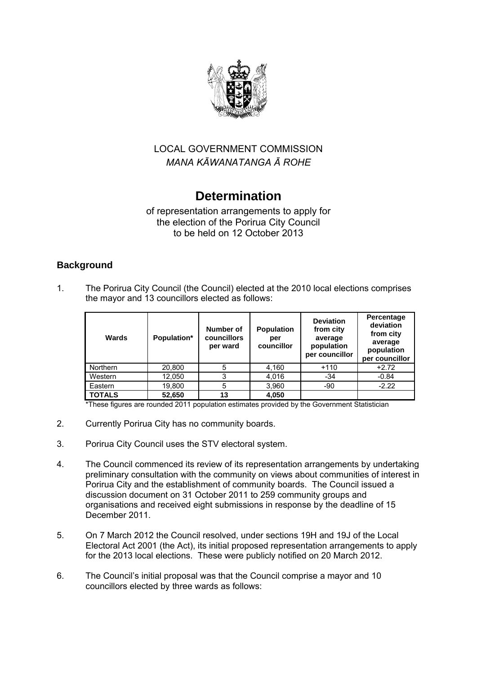

# LOCAL GOVERNMENT COMMISSION *MANA KĀWANATANGA Ā ROHE*

# **Determination**

## of representation arrangements to apply for the election of the Porirua City Council to be held on 12 October 2013

## **Background**

1. The Porirua City Council (the Council) elected at the 2010 local elections comprises the mayor and 13 councillors elected as follows:

| Wards         | Population* | Number of<br>councillors<br>per ward | <b>Population</b><br>per<br>councillor | <b>Deviation</b><br>from city<br>average<br>population<br>per councillor | Percentage<br>deviation<br>from city<br>average<br>population<br>per councillor |
|---------------|-------------|--------------------------------------|----------------------------------------|--------------------------------------------------------------------------|---------------------------------------------------------------------------------|
| Northern      | 20,800      | 5                                    | 4,160                                  | $+110$                                                                   | $+2.72$                                                                         |
| Western       | 12,050      | 3                                    | 4.016                                  | $-34$                                                                    | $-0.84$                                                                         |
| Eastern       | 19,800      | 5                                    | 3,960                                  | $-90$                                                                    | $-2.22$                                                                         |
| <b>TOTALS</b> | 52,650      | 13                                   | 4,050                                  |                                                                          |                                                                                 |

\*These figures are rounded 2011 population estimates provided by the Government Statistician

- 2. Currently Porirua City has no community boards.
- 3. Porirua City Council uses the STV electoral system.
- 4. The Council commenced its review of its representation arrangements by undertaking preliminary consultation with the community on views about communities of interest in Porirua City and the establishment of community boards. The Council issued a discussion document on 31 October 2011 to 259 community groups and organisations and received eight submissions in response by the deadline of 15 December 2011.
- 5. On 7 March 2012 the Council resolved, under sections 19H and 19J of the Local Electoral Act 2001 (the Act), its initial proposed representation arrangements to apply for the 2013 local elections. These were publicly notified on 20 March 2012.
- 6. The Council's initial proposal was that the Council comprise a mayor and 10 councillors elected by three wards as follows: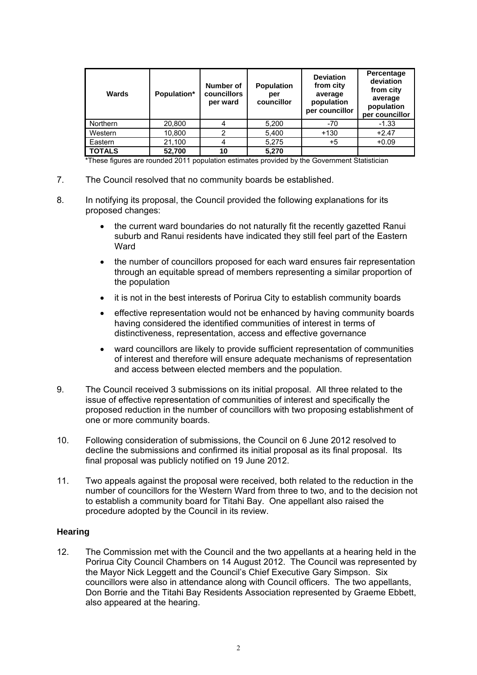| Wards           | Population* | Number of<br><b>councillors</b><br>per ward | <b>Population</b><br>per<br>councillor | <b>Deviation</b><br>from city<br>average<br>population<br>per councillor | Percentage<br>deviation<br>from city<br>average<br>population<br>per councillor |
|-----------------|-------------|---------------------------------------------|----------------------------------------|--------------------------------------------------------------------------|---------------------------------------------------------------------------------|
| <b>Northern</b> | 20,800      |                                             | 5,200                                  | $-70$                                                                    | $-1.33$                                                                         |
| Western         | 10,800      |                                             | 5,400                                  | $+130$                                                                   | $+2.47$                                                                         |
| Eastern         | 21,100      |                                             | 5,275                                  | $+5$                                                                     | $+0.09$                                                                         |
| <b>TOTALS</b>   | 52,700      | 10                                          | 5,270                                  |                                                                          |                                                                                 |

\*These figures are rounded 2011 population estimates provided by the Government Statistician

- 7. The Council resolved that no community boards be established.
- 8. In notifying its proposal, the Council provided the following explanations for its proposed changes:
	- the current ward boundaries do not naturally fit the recently gazetted Ranui suburb and Ranui residents have indicated they still feel part of the Eastern **Ward**
	- the number of councillors proposed for each ward ensures fair representation through an equitable spread of members representing a similar proportion of the population
	- it is not in the best interests of Porirua City to establish community boards
	- effective representation would not be enhanced by having community boards having considered the identified communities of interest in terms of distinctiveness, representation, access and effective governance
	- ward councillors are likely to provide sufficient representation of communities of interest and therefore will ensure adequate mechanisms of representation and access between elected members and the population.
- 9. The Council received 3 submissions on its initial proposal. All three related to the issue of effective representation of communities of interest and specifically the proposed reduction in the number of councillors with two proposing establishment of one or more community boards.
- 10. Following consideration of submissions, the Council on 6 June 2012 resolved to decline the submissions and confirmed its initial proposal as its final proposal. Its final proposal was publicly notified on 19 June 2012.
- 11. Two appeals against the proposal were received, both related to the reduction in the number of councillors for the Western Ward from three to two, and to the decision not to establish a community board for Titahi Bay. One appellant also raised the procedure adopted by the Council in its review.

#### **Hearing**

12. The Commission met with the Council and the two appellants at a hearing held in the Porirua City Council Chambers on 14 August 2012. The Council was represented by the Mayor Nick Leggett and the Council's Chief Executive Gary Simpson. Six councillors were also in attendance along with Council officers. The two appellants, Don Borrie and the Titahi Bay Residents Association represented by Graeme Ebbett, also appeared at the hearing.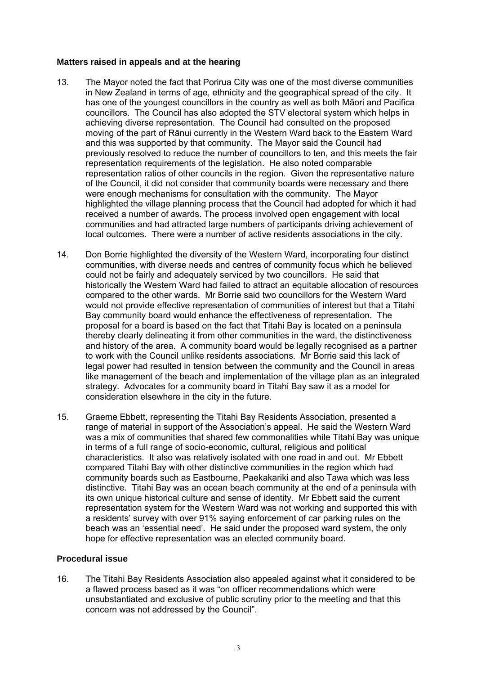#### **Matters raised in appeals and at the hearing**

- 13. The Mayor noted the fact that Porirua City was one of the most diverse communities in New Zealand in terms of age, ethnicity and the geographical spread of the city. It has one of the youngest councillors in the country as well as both Māori and Pacifica councillors. The Council has also adopted the STV electoral system which helps in achieving diverse representation. The Council had consulted on the proposed moving of the part of Rānui currently in the Western Ward back to the Eastern Ward and this was supported by that community. The Mayor said the Council had previously resolved to reduce the number of councillors to ten, and this meets the fair representation requirements of the legislation. He also noted comparable representation ratios of other councils in the region. Given the representative nature of the Council, it did not consider that community boards were necessary and there were enough mechanisms for consultation with the community. The Mayor highlighted the village planning process that the Council had adopted for which it had received a number of awards. The process involved open engagement with local communities and had attracted large numbers of participants driving achievement of local outcomes. There were a number of active residents associations in the city.
- 14. Don Borrie highlighted the diversity of the Western Ward, incorporating four distinct communities, with diverse needs and centres of community focus which he believed could not be fairly and adequately serviced by two councillors. He said that historically the Western Ward had failed to attract an equitable allocation of resources compared to the other wards. Mr Borrie said two councillors for the Western Ward would not provide effective representation of communities of interest but that a Titahi Bay community board would enhance the effectiveness of representation. The proposal for a board is based on the fact that Titahi Bay is located on a peninsula thereby clearly delineating it from other communities in the ward, the distinctiveness and history of the area. A community board would be legally recognised as a partner to work with the Council unlike residents associations. Mr Borrie said this lack of legal power had resulted in tension between the community and the Council in areas like management of the beach and implementation of the village plan as an integrated strategy. Advocates for a community board in Titahi Bay saw it as a model for consideration elsewhere in the city in the future.
- 15. Graeme Ebbett, representing the Titahi Bay Residents Association, presented a range of material in support of the Association's appeal. He said the Western Ward was a mix of communities that shared few commonalities while Titahi Bay was unique in terms of a full range of socio-economic, cultural, religious and political characteristics. It also was relatively isolated with one road in and out. Mr Ebbett compared Titahi Bay with other distinctive communities in the region which had community boards such as Eastbourne, Paekakariki and also Tawa which was less distinctive. Titahi Bay was an ocean beach community at the end of a peninsula with its own unique historical culture and sense of identity. Mr Ebbett said the current representation system for the Western Ward was not working and supported this with a residents' survey with over 91% saying enforcement of car parking rules on the beach was an 'essential need'. He said under the proposed ward system, the only hope for effective representation was an elected community board.

#### **Procedural issue**

16. The Titahi Bay Residents Association also appealed against what it considered to be a flawed process based as it was "on officer recommendations which were unsubstantiated and exclusive of public scrutiny prior to the meeting and that this concern was not addressed by the Council".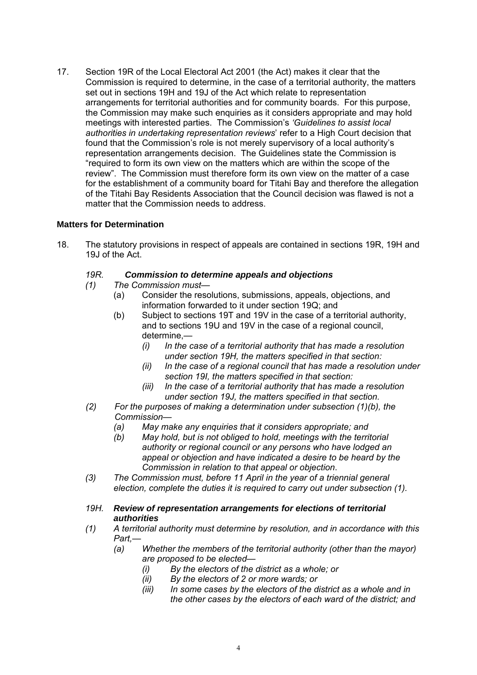17. Section 19R of the Local Electoral Act 2001 (the Act) makes it clear that the Commission is required to determine, in the case of a territorial authority, the matters set out in sections 19H and 19J of the Act which relate to representation arrangements for territorial authorities and for community boards. For this purpose, the Commission may make such enquiries as it considers appropriate and may hold meetings with interested parties. The Commission's *'Guidelines to assist local authorities in undertaking representation reviews*' refer to a High Court decision that found that the Commission's role is not merely supervisory of a local authority's representation arrangements decision. The Guidelines state the Commission is "required to form its own view on the matters which are within the scope of the review". The Commission must therefore form its own view on the matter of a case for the establishment of a community board for Titahi Bay and therefore the allegation of the Titahi Bay Residents Association that the Council decision was flawed is not a matter that the Commission needs to address.

## **Matters for Determination**

18. The statutory provisions in respect of appeals are contained in sections 19R, 19H and 19J of the Act.

#### *19R. Commission to determine appeals and objections*

- *(1) The Commission must—* 
	- (a) Consider the resolutions, submissions, appeals, objections, and information forwarded to it under section 19Q; and
	- (b) Subject to sections 19T and 19V in the case of a territorial authority, and to sections 19U and 19V in the case of a regional council, determine,—
		- *(i) In the case of a territorial authority that has made a resolution under section 19H, the matters specified in that section:*
		- *(ii) In the case of a regional council that has made a resolution under section 19I, the matters specified in that section:*
		- *(iii) In the case of a territorial authority that has made a resolution under section 19J, the matters specified in that section.*
- *(2) For the purposes of making a determination under subsection (1)(b), the Commission—* 
	- *(a) May make any enquiries that it considers appropriate; and*
	- *(b) May hold, but is not obliged to hold, meetings with the territorial authority or regional council or any persons who have lodged an appeal or objection and have indicated a desire to be heard by the Commission in relation to that appeal or objection*.
- *(3) The Commission must, before 11 April in the year of a triennial general election, complete the duties it is required to carry out under subsection (1).*
- *19H. Review of representation arrangements for elections of territorial authorities*
- *(1) A territorial authority must determine by resolution, and in accordance with this Part,—* 
	- *(a) Whether the members of the territorial authority (other than the mayor) are proposed to be elected—* 
		- *(i) By the electors of the district as a whole; or*
		- *(ii) By the electors of 2 or more wards; or*
		- *(iii) In some cases by the electors of the district as a whole and in the other cases by the electors of each ward of the district; and*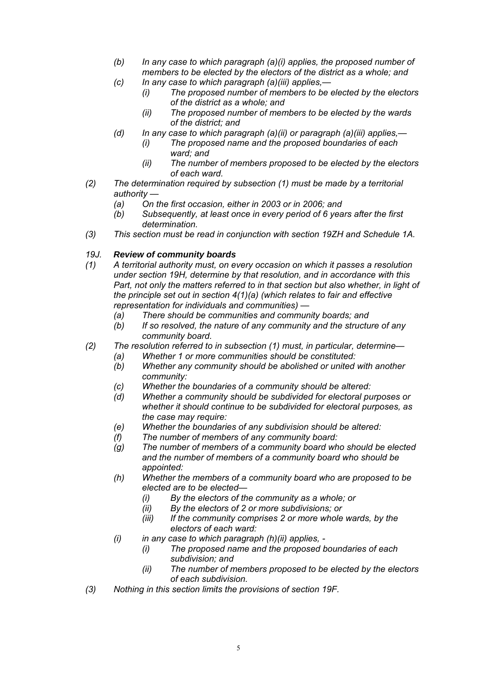- *(b) In any case to which paragraph (a)(i) applies, the proposed number of members to be elected by the electors of the district as a whole; and*
- *(c) In any case to which paragraph (a)(iii) applies,—* 
	- *(i) The proposed number of members to be elected by the electors of the district as a whole; and*
	- *(ii) The proposed number of members to be elected by the wards of the district; and*
- *(d) In any case to which paragraph (a)(ii) or paragraph (a)(iii) applies,—* 
	- *(i) The proposed name and the proposed boundaries of each ward; and*
	- *(ii) The number of members proposed to be elected by the electors of each ward.*
- *(2) The determination required by subsection (1) must be made by a territorial authority —* 
	- *(a) On the first occasion, either in 2003 or in 2006; and*
	- *(b) Subsequently, at least once in every period of 6 years after the first determination.*
- *(3) This section must be read in conjunction with section 19ZH and Schedule 1A.*

## *19J. Review of community boards*

- *(1) A territorial authority must, on every occasion on which it passes a resolution under section 19H, determine by that resolution, and in accordance with this Part, not only the matters referred to in that section but also whether, in light of the principle set out in section 4(1)(a) (which relates to fair and effective representation for individuals and communities) —* 
	- *(a) There should be communities and community boards; and*
	- *(b) If so resolved, the nature of any community and the structure of any community board.*
- *(2) The resolution referred to in subsection (1) must, in particular, determine—* 
	- *(a) Whether 1 or more communities should be constituted:*
	- *(b) Whether any community should be abolished or united with another community:*
	- *(c) Whether the boundaries of a community should be altered:*
	- *(d) Whether a community should be subdivided for electoral purposes or whether it should continue to be subdivided for electoral purposes, as the case may require:*
	- *(e) Whether the boundaries of any subdivision should be altered:*
	- *(f) The number of members of any community board:*
	- *(g) The number of members of a community board who should be elected and the number of members of a community board who should be appointed:*
	- *(h) Whether the members of a community board who are proposed to be elected are to be elected—* 
		- *(i) By the electors of the community as a whole; or*
		- *(ii) By the electors of 2 or more subdivisions; or*
		- *(iii) If the community comprises 2 or more whole wards, by the electors of each ward:*
	- *(i) in any case to which paragraph (h)(ii) applies,* 
		- *(i) The proposed name and the proposed boundaries of each subdivision; and*
		- *(ii) The number of members proposed to be elected by the electors of each subdivision.*
- *(3) Nothing in this section limits the provisions of section 19F.*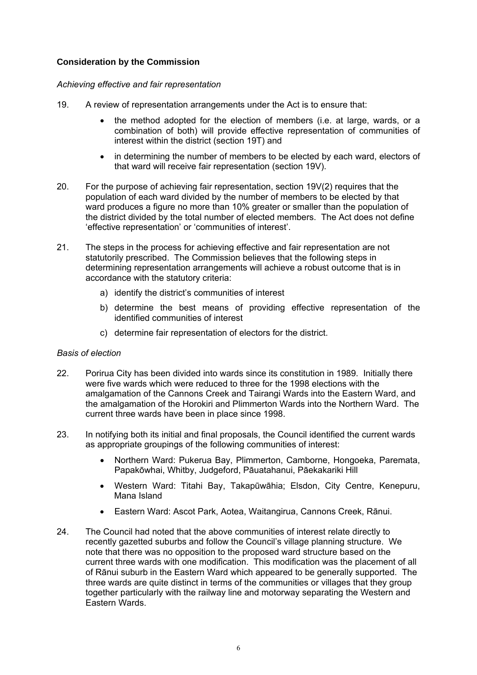## **Consideration by the Commission**

#### *Achieving effective and fair representation*

- 19. A review of representation arrangements under the Act is to ensure that:
	- the method adopted for the election of members (i.e. at large, wards, or a combination of both) will provide effective representation of communities of interest within the district (section 19T) and
	- in determining the number of members to be elected by each ward, electors of that ward will receive fair representation (section 19V).
- 20. For the purpose of achieving fair representation, section 19V(2) requires that the population of each ward divided by the number of members to be elected by that ward produces a figure no more than 10% greater or smaller than the population of the district divided by the total number of elected members. The Act does not define 'effective representation' or 'communities of interest'.
- 21. The steps in the process for achieving effective and fair representation are not statutorily prescribed. The Commission believes that the following steps in determining representation arrangements will achieve a robust outcome that is in accordance with the statutory criteria:
	- a) identify the district's communities of interest
	- b) determine the best means of providing effective representation of the identified communities of interest
	- c) determine fair representation of electors for the district.

#### *Basis of election*

- 22. Porirua City has been divided into wards since its constitution in 1989. Initially there were five wards which were reduced to three for the 1998 elections with the amalgamation of the Cannons Creek and Tairangi Wards into the Eastern Ward, and the amalgamation of the Horokiri and Plimmerton Wards into the Northern Ward. The current three wards have been in place since 1998.
- 23. In notifying both its initial and final proposals, the Council identified the current wards as appropriate groupings of the following communities of interest:
	- Northern Ward: Pukerua Bay, Plimmerton, Camborne, Hongoeka, Paremata, Papakōwhai, Whitby, Judgeford, Pāuatahanui, Pāekakariki Hill
	- Western Ward: Titahi Bay, Takapūwāhia; Elsdon, City Centre, Kenepuru, Mana Island
	- Eastern Ward: Ascot Park, Aotea, Waitangirua, Cannons Creek, Rānui.
- 24. The Council had noted that the above communities of interest relate directly to recently gazetted suburbs and follow the Council's village planning structure. We note that there was no opposition to the proposed ward structure based on the current three wards with one modification. This modification was the placement of all of Rānui suburb in the Eastern Ward which appeared to be generally supported. The three wards are quite distinct in terms of the communities or villages that they group together particularly with the railway line and motorway separating the Western and Eastern Wards.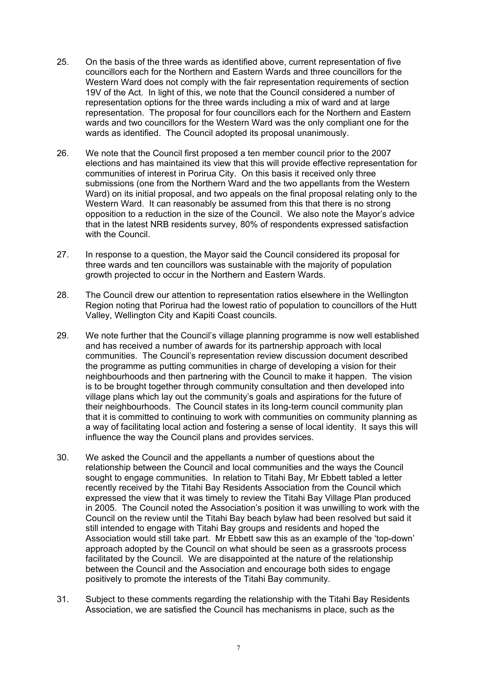- 25. On the basis of the three wards as identified above, current representation of five councillors each for the Northern and Eastern Wards and three councillors for the Western Ward does not comply with the fair representation requirements of section 19V of the Act. In light of this, we note that the Council considered a number of representation options for the three wards including a mix of ward and at large representation. The proposal for four councillors each for the Northern and Eastern wards and two councillors for the Western Ward was the only compliant one for the wards as identified. The Council adopted its proposal unanimously.
- 26. We note that the Council first proposed a ten member council prior to the 2007 elections and has maintained its view that this will provide effective representation for communities of interest in Porirua City. On this basis it received only three submissions (one from the Northern Ward and the two appellants from the Western Ward) on its initial proposal, and two appeals on the final proposal relating only to the Western Ward. It can reasonably be assumed from this that there is no strong opposition to a reduction in the size of the Council. We also note the Mayor's advice that in the latest NRB residents survey, 80% of respondents expressed satisfaction with the Council.
- 27. In response to a question, the Mayor said the Council considered its proposal for three wards and ten councillors was sustainable with the majority of population growth projected to occur in the Northern and Eastern Wards.
- 28. The Council drew our attention to representation ratios elsewhere in the Wellington Region noting that Porirua had the lowest ratio of population to councillors of the Hutt Valley, Wellington City and Kapiti Coast councils.
- 29. We note further that the Council's village planning programme is now well established and has received a number of awards for its partnership approach with local communities. The Council's representation review discussion document described the programme as putting communities in charge of developing a vision for their neighbourhoods and then partnering with the Council to make it happen. The vision is to be brought together through community consultation and then developed into village plans which lay out the community's goals and aspirations for the future of their neighbourhoods. The Council states in its long-term council community plan that it is committed to continuing to work with communities on community planning as a way of facilitating local action and fostering a sense of local identity. It says this will influence the way the Council plans and provides services.
- 30. We asked the Council and the appellants a number of questions about the relationship between the Council and local communities and the ways the Council sought to engage communities. In relation to Titahi Bay, Mr Ebbett tabled a letter recently received by the Titahi Bay Residents Association from the Council which expressed the view that it was timely to review the Titahi Bay Village Plan produced in 2005. The Council noted the Association's position it was unwilling to work with the Council on the review until the Titahi Bay beach bylaw had been resolved but said it still intended to engage with Titahi Bay groups and residents and hoped the Association would still take part. Mr Ebbett saw this as an example of the 'top-down' approach adopted by the Council on what should be seen as a grassroots process facilitated by the Council. We are disappointed at the nature of the relationship between the Council and the Association and encourage both sides to engage positively to promote the interests of the Titahi Bay community.
- 31. Subject to these comments regarding the relationship with the Titahi Bay Residents Association, we are satisfied the Council has mechanisms in place, such as the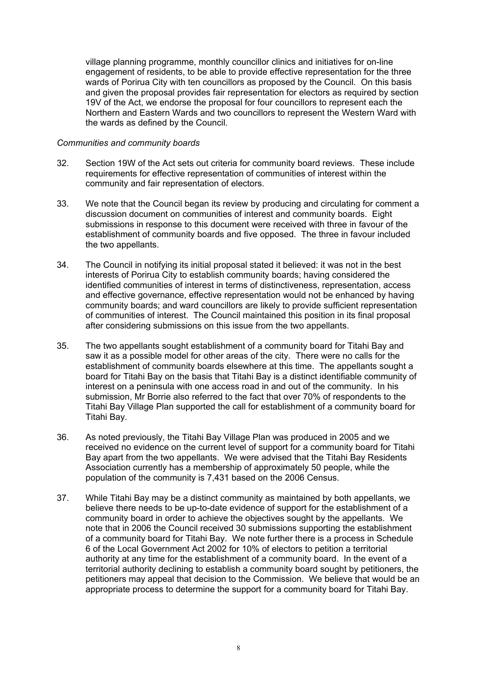village planning programme, monthly councillor clinics and initiatives for on-line engagement of residents, to be able to provide effective representation for the three wards of Porirua City with ten councillors as proposed by the Council. On this basis and given the proposal provides fair representation for electors as required by section 19V of the Act, we endorse the proposal for four councillors to represent each the Northern and Eastern Wards and two councillors to represent the Western Ward with the wards as defined by the Council.

#### *Communities and community boards*

- 32. Section 19W of the Act sets out criteria for community board reviews. These include requirements for effective representation of communities of interest within the community and fair representation of electors.
- 33. We note that the Council began its review by producing and circulating for comment a discussion document on communities of interest and community boards. Eight submissions in response to this document were received with three in favour of the establishment of community boards and five opposed. The three in favour included the two appellants.
- 34. The Council in notifying its initial proposal stated it believed: it was not in the best interests of Porirua City to establish community boards; having considered the identified communities of interest in terms of distinctiveness, representation, access and effective governance, effective representation would not be enhanced by having community boards; and ward councillors are likely to provide sufficient representation of communities of interest. The Council maintained this position in its final proposal after considering submissions on this issue from the two appellants.
- 35. The two appellants sought establishment of a community board for Titahi Bay and saw it as a possible model for other areas of the city. There were no calls for the establishment of community boards elsewhere at this time. The appellants sought a board for Titahi Bay on the basis that Titahi Bay is a distinct identifiable community of interest on a peninsula with one access road in and out of the community. In his submission, Mr Borrie also referred to the fact that over 70% of respondents to the Titahi Bay Village Plan supported the call for establishment of a community board for Titahi Bay.
- 36. As noted previously, the Titahi Bay Village Plan was produced in 2005 and we received no evidence on the current level of support for a community board for Titahi Bay apart from the two appellants. We were advised that the Titahi Bay Residents Association currently has a membership of approximately 50 people, while the population of the community is 7,431 based on the 2006 Census.
- 37. While Titahi Bay may be a distinct community as maintained by both appellants, we believe there needs to be up-to-date evidence of support for the establishment of a community board in order to achieve the objectives sought by the appellants. We note that in 2006 the Council received 30 submissions supporting the establishment of a community board for Titahi Bay. We note further there is a process in Schedule 6 of the Local Government Act 2002 for 10% of electors to petition a territorial authority at any time for the establishment of a community board. In the event of a territorial authority declining to establish a community board sought by petitioners, the petitioners may appeal that decision to the Commission. We believe that would be an appropriate process to determine the support for a community board for Titahi Bay.